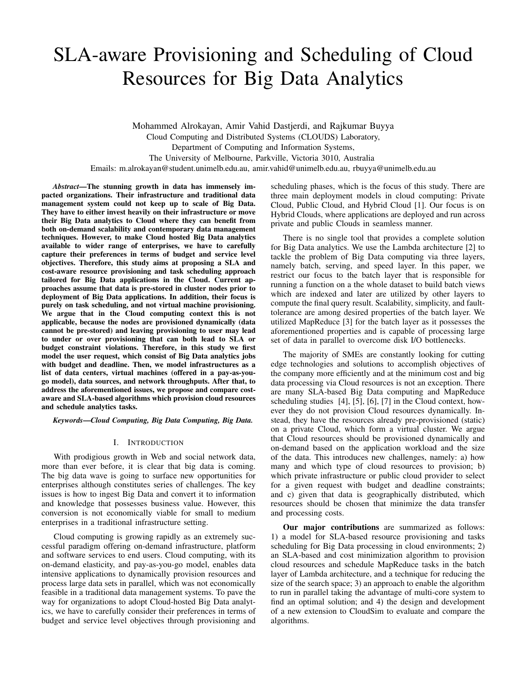# SLA-aware Provisioning and Scheduling of Cloud Resources for Big Data Analytics

Mohammed Alrokayan, Amir Vahid Dastjerdi, and Rajkumar Buyya Cloud Computing and Distributed Systems (CLOUDS) Laboratory, Department of Computing and Information Systems, The University of Melbourne, Parkville, Victoria 3010, Australia Emails: m.alrokayan@student.unimelb.edu.au, amir.vahid@unimelb.edu.au, rbuyya@unimelb.edu.au

*Abstract*—The stunning growth in data has immensely impacted organizations. Their infrastructure and traditional data management system could not keep up to scale of Big Data. They have to either invest heavily on their infrastructure or move their Big Data analytics to Cloud where they can benefit from both on-demand scalability and contemporary data management techniques. However, to make Cloud hosted Big Data analytics available to wider range of enterprises, we have to carefully capture their preferences in terms of budget and service level objectives. Therefore, this study aims at proposing a SLA and cost-aware resource provisioning and task scheduling approach tailored for Big Data applications in the Cloud. Current approaches assume that data is pre-stored in cluster nodes prior to deployment of Big Data applications. In addition, their focus is purely on task scheduling, and not virtual machine provisioning. We argue that in the Cloud computing context this is not applicable, because the nodes are provisioned dynamically (data cannot be pre-stored) and leaving provisioning to user may lead to under or over provisioning that can both lead to SLA or budget constraint violations. Therefore, in this study we first model the user request, which consist of Big Data analytics jobs with budget and deadline. Then, we model infrastructures as a list of data centers, virtual machines (offered in a pay-as-yougo model), data sources, and network throughputs. After that, to address the aforementioned issues, we propose and compare costaware and SLA-based algorithms which provision cloud resources and schedule analytics tasks.

*Keywords*—*Cloud Computing, Big Data Computing, Big Data.*

#### I. INTRODUCTION

With prodigious growth in Web and social network data, more than ever before, it is clear that big data is coming. The big data wave is going to surface new opportunities for enterprises although constitutes series of challenges. The key issues is how to ingest Big Data and convert it to information and knowledge that possesses business value. However, this conversion is not economically viable for small to medium enterprises in a traditional infrastructure setting.

Cloud computing is growing rapidly as an extremely successful paradigm offering on-demand infrastructure, platform and software services to end users. Cloud computing, with its on-demand elasticity, and pay-as-you-go model, enables data intensive applications to dynamically provision resources and process large data sets in parallel, which was not economically feasible in a traditional data management systems. To pave the way for organizations to adopt Cloud-hosted Big Data analytics, we have to carefully consider their preferences in terms of budget and service level objectives through provisioning and scheduling phases, which is the focus of this study. There are three main deployment models in cloud computing: Private Cloud, Public Cloud, and Hybrid Cloud [1]. Our focus is on Hybrid Clouds, where applications are deployed and run across private and public Clouds in seamless manner.

There is no single tool that provides a complete solution for Big Data analytics. We use the Lambda architecture [2] to tackle the problem of Big Data computing via three layers, namely batch, serving, and speed layer. In this paper, we restrict our focus to the batch layer that is responsible for running a function on a the whole dataset to build batch views which are indexed and later are utilized by other layers to compute the final query result. Scalability, simplicity, and faulttolerance are among desired properties of the batch layer. We utilized MapReduce [3] for the batch layer as it possesses the aforementioned properties and is capable of processing large set of data in parallel to overcome disk I/O bottlenecks.

The majority of SMEs are constantly looking for cutting edge technologies and solutions to accomplish objectives of the company more efficiently and at the minimum cost and big data processing via Cloud resources is not an exception. There are many SLA-based Big Data computing and MapReduce scheduling studies [4], [5], [6], [7] in the Cloud context, however they do not provision Cloud resources dynamically. Instead, they have the resources already pre-provisioned (static) on a private Cloud, which form a virtual cluster. We argue that Cloud resources should be provisioned dynamically and on-demand based on the application workload and the size of the data. This introduces new challenges, namely: a) how many and which type of cloud resources to provision; b) which private infrastructure or public cloud provider to select for a given request with budget and deadline constraints; and c) given that data is geographically distributed, which resources should be chosen that minimize the data transfer and processing costs.

Our major contributions are summarized as follows: 1) a model for SLA-based resource provisioning and tasks scheduling for Big Data processing in cloud environments; 2) an SLA-based and cost minimization algorithm to provision cloud resources and schedule MapReduce tasks in the batch layer of Lambda architecture, and a technique for reducing the size of the search space; 3) an approach to enable the algorithm to run in parallel taking the advantage of multi-core system to find an optimal solution; and 4) the design and development of a new extension to CloudSim to evaluate and compare the algorithms.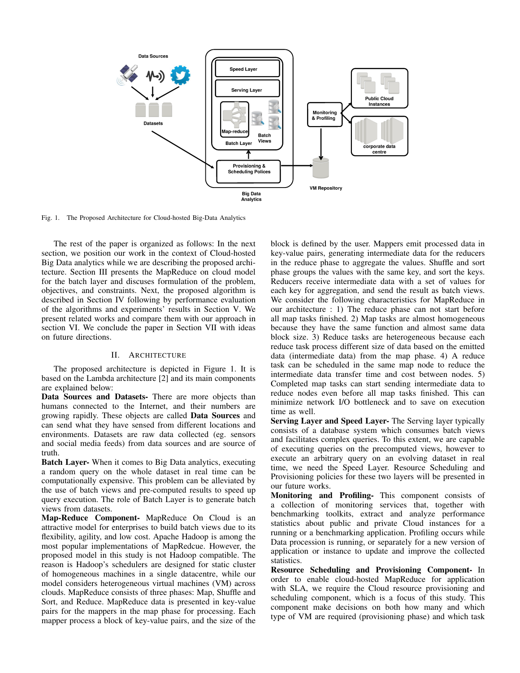

Fig. 1. The Proposed Architecture for Cloud-hosted Big-Data Analytics

The rest of the paper is organized as follows: In the next section, we position our work in the context of Cloud-hosted Big Data analytics while we are describing the proposed architecture. Section III presents the MapReduce on cloud model for the batch layer and discuses formulation of the problem, objectives, and constraints. Next, the proposed algorithm is described in Section IV following by performance evaluation of the algorithms and experiments' results in Section V. We present related works and compare them with our approach in section VI. We conclude the paper in Section VII with ideas on future directions.

#### II. ARCHITECTURE

The proposed architecture is depicted in Figure 1. It is based on the Lambda architecture [2] and its main components are explained below:

Data Sources and Datasets- There are more objects than humans connected to the Internet, and their numbers are growing rapidly. These objects are called Data Sources and can send what they have sensed from different locations and environments. Datasets are raw data collected (eg. sensors and social media feeds) from data sources and are source of truth.

Batch Layer- When it comes to Big Data analytics, executing a random query on the whole dataset in real time can be computationally expensive. This problem can be alleviated by the use of batch views and pre-computed results to speed up query execution. The role of Batch Layer is to generate batch views from datasets.

Map-Reduce Component- MapReduce On Cloud is an attractive model for enterprises to build batch views due to its flexibility, agility, and low cost. Apache Hadoop is among the most popular implementations of MapRedcue. However, the proposed model in this study is not Hadoop compatible. The reason is Hadoop's schedulers are designed for static cluster of homogeneous machines in a single datacentre, while our model considers heterogeneous virtual machines (VM) across clouds. MapReduce consists of three phases: Map, Shuffle and Sort, and Reduce. MapReduce data is presented in key-value pairs for the mappers in the map phase for processing. Each mapper process a block of key-value pairs, and the size of the block is defined by the user. Mappers emit processed data in key-value pairs, generating intermediate data for the reducers in the reduce phase to aggregate the values. Shuffle and sort phase groups the values with the same key, and sort the keys. Reducers receive intermediate data with a set of values for each key for aggregation, and send the result as batch views. We consider the following characteristics for MapReduce in our architecture : 1) The reduce phase can not start before all map tasks finished. 2) Map tasks are almost homogeneous because they have the same function and almost same data block size. 3) Reduce tasks are heterogeneous because each reduce task process different size of data based on the emitted data (intermediate data) from the map phase. 4) A reduce task can be scheduled in the same map node to reduce the intermediate data transfer time and cost between nodes. 5) Completed map tasks can start sending intermediate data to reduce nodes even before all map tasks finished. This can minimize network I/O bottleneck and to save on execution time as well.

Serving Layer and Speed Layer- The Serving layer typically consists of a database system which consumes batch views and facilitates complex queries. To this extent, we are capable of executing queries on the precomputed views, however to execute an arbitrary query on an evolving dataset in real time, we need the Speed Layer. Resource Scheduling and Provisioning policies for these two layers will be presented in our future works.

Monitoring and Profiling- This component consists of a collection of monitoring services that, together with benchmarking toolkits, extract and analyze performance statistics about public and private Cloud instances for a running or a benchmarking application. Profiling occurs while Data procession is running, or separately for a new version of application or instance to update and improve the collected statistics.

Resource Scheduling and Provisioning Component- In order to enable cloud-hosted MapReduce for application with SLA, we require the Cloud resource provisioning and scheduling component, which is a focus of this study. This component make decisions on both how many and which type of VM are required (provisioning phase) and which task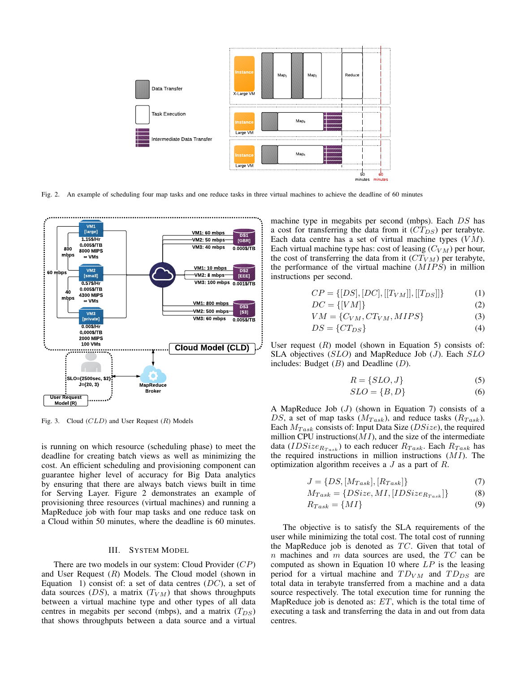

Fig. 2. An example of scheduling four map tasks and one reduce tasks in three virtual machines to achieve the deadline of 60 minutes



Fig. 3. Cloud  $(CLD)$  and User Request  $(R)$  Models

is running on which resource (scheduling phase) to meet the deadline for creating batch views as well as minimizing the cost. An efficient scheduling and provisioning component can guarantee higher level of accuracy for Big Data analytics by ensuring that there are always batch views built in time for Serving Layer. Figure 2 demonstrates an example of provisioning three resources (virtual machines) and running a MapReduce job with four map tasks and one reduce task on a Cloud within 50 minutes, where the deadline is 60 minutes.

## III. SYSTEM MODEL

There are two models in our system: Cloud Provider  $(CP)$ and User Request  $(R)$  Models. The Cloud model (shown in Equation 1) consist of: a set of data centres  $(DC)$ , a set of data sources  $(DS)$ , a matrix  $(T_{VM})$  that shows throughputs between a virtual machine type and other types of all data centres in megabits per second (mbps), and a matrix  $(T_{DS})$ that shows throughputs between a data source and a virtual

machine type in megabits per second (mbps). Each DS has a cost for transferring the data from it  $(CT_{DS})$  per terabyte. Each data centre has a set of virtual machine types  $(VM)$ . Each virtual machine type has: cost of leasing  $(C_{VM})$  per hour, the cost of transferring the data from it  $(T_{VM})$  per terabyte, the performance of the virtual machine  $(MIPS)$  in million instructions per second.

$$
CP = \{ [DS], [DC], [[T_{VM}]], [[T_{DS}]] \}
$$
 (1)

$$
DC = \{[VM]\}\tag{2}
$$

$$
VM = \{C_{VM}, CT_{VM}, MIPS\} \tag{3}
$$

$$
DS = \{CT_{DS}\}\tag{4}
$$

User request  $(R)$  model (shown in Equation 5) consists of: SLA objectives  $(SLO)$  and MapReduce Job  $(J)$ . Each  $SLO$ includes: Budget  $(B)$  and Deadline  $(D)$ .

$$
R = \{SLO, J\} \tag{5}
$$

$$
SLO = \{B, D\} \tag{6}
$$

A MapReduce Job  $(J)$  (shown in Equation 7) consists of a DS, a set of map tasks  $(M_{Task})$ , and reduce tasks  $(R_{Task})$ . Each  $M_{Task}$  consists of: Input Data Size ( $DSize$ ), the required million CPU instructions  $(MI)$ , and the size of the intermediate data (IDSize $_{R_{Task}}$ ) to each reducer  $R_{Task}$ . Each  $R_{Task}$  has the required instructions in million instructions  $(MI)$ . The optimization algorithm receives a J as a part of R.

$$
J = \{DS, [M_{Task}], [R_{Task}]\}\tag{7}
$$

$$
M_{Task} = \{DSize, MI, [IDSize_{R_{Task}}] \}
$$
 (8)

$$
R_{Task} = \{MI\} \tag{9}
$$

The objective is to satisfy the SLA requirements of the user while minimizing the total cost. The total cost of running the MapReduce job is denoted as  $TC$ . Given that total of  $n$  machines and  $m$  data sources are used, the  $TC$  can be computed as shown in Equation 10 where  $LP$  is the leasing period for a virtual machine and  $TD_{VM}$  and  $TD_{DS}$  are total data in terabyte transferred from a machine and a data source respectively. The total execution time for running the MapReduce job is denoted as:  $ET$ , which is the total time of executing a task and transferring the data in and out from data centres.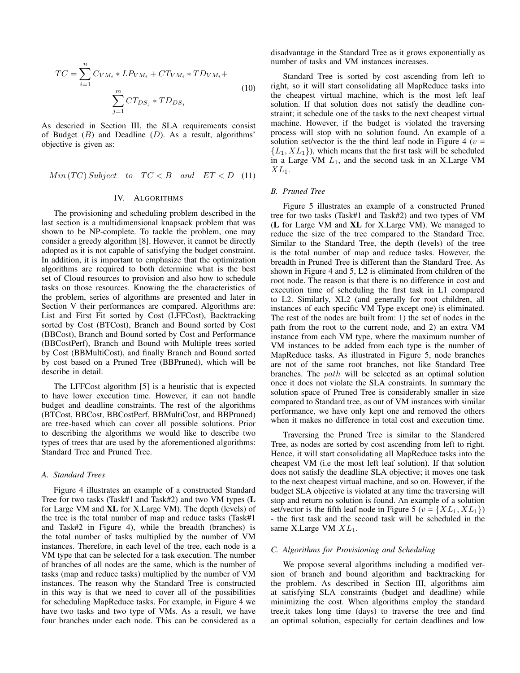$$
TC = \sum_{i=1}^{n} C_{VM_i} * LP_{VM_i} + CT_{VM_i} * TD_{VM_i} + \sum_{j=1}^{m} CT_{DS_j} * TD_{DS_j}
$$
\n(10)

As descried in Section III, the SLA requirements consist of Budget  $(B)$  and Deadline  $(D)$ . As a result, algorithms' objective is given as:

 $Min(TC) \, Subject \quad to \quad TC < B \quad and \quad ET < D \quad (11)$ 

### IV. ALGORITHMS

The provisioning and scheduling problem described in the last section is a multidimensional knapsack problem that was shown to be NP-complete. To tackle the problem, one may consider a greedy algorithm [8]. However, it cannot be directly adopted as it is not capable of satisfying the budget constraint. In addition, it is important to emphasize that the optimization algorithms are required to both determine what is the best set of Cloud resources to provision and also how to schedule tasks on those resources. Knowing the the characteristics of the problem, series of algorithms are presented and later in Section V their performances are compared. Algorithms are: List and First Fit sorted by Cost (LFFCost), Backtracking sorted by Cost (BTCost), Branch and Bound sorted by Cost (BBCost), Branch and Bound sorted by Cost and Performance (BBCostPerf), Branch and Bound with Multiple trees sorted by Cost (BBMultiCost), and finally Branch and Bound sorted by cost based on a Pruned Tree (BBPruned), which will be describe in detail.

The LFFCost algorithm [5] is a heuristic that is expected to have lower execution time. However, it can not handle budget and deadline constraints. The rest of the algorithms (BTCost, BBCost, BBCostPerf, BBMultiCost, and BBPruned) are tree-based which can cover all possible solutions. Prior to describing the algorithms we would like to describe two types of trees that are used by the aforementioned algorithms: Standard Tree and Pruned Tree.

## *A. Standard Trees*

Figure 4 illustrates an example of a constructed Standard Tree for two tasks (Task#1 and Task#2) and two VM types (L for Large VM and XL for X.Large VM). The depth (levels) of the tree is the total number of map and reduce tasks (Task#1 and Task#2 in Figure 4), while the breadth (branches) is the total number of tasks multiplied by the number of VM instances. Therefore, in each level of the tree, each node is a VM type that can be selected for a task execution. The number of branches of all nodes are the same, which is the number of tasks (map and reduce tasks) multiplied by the number of VM instances. The reason why the Standard Tree is constructed in this way is that we need to cover all of the possibilities for scheduling MapReduce tasks. For example, in Figure 4 we have two tasks and two type of VMs. As a result, we have four branches under each node. This can be considered as a

disadvantage in the Standard Tree as it grows exponentially as number of tasks and VM instances increases.

Standard Tree is sorted by cost ascending from left to right, so it will start consolidating all MapReduce tasks into the cheapest virtual machine, which is the most left leaf solution. If that solution does not satisfy the deadline constraint; it schedule one of the tasks to the next cheapest virtual machine. However, if the budget is violated the traversing process will stop with no solution found. An example of a solution set/vector is the the third leaf node in Figure 4 ( $v =$  ${L_1, XL_1}$ , which means that the first task will be scheduled in a Large VM  $L_1$ , and the second task in an X.Large VM  $XL_1$ .

## *B. Pruned Tree*

Figure 5 illustrates an example of a constructed Pruned tree for two tasks (Task#1 and Task#2) and two types of VM (L for Large VM and XL for X.Large VM). We managed to reduce the size of the tree compared to the Standard Tree. Similar to the Standard Tree, the depth (levels) of the tree is the total number of map and reduce tasks. However, the breadth in Pruned Tree is different than the Standard Tree. As shown in Figure 4 and 5, L2 is eliminated from children of the root node. The reason is that there is no difference in cost and execution time of scheduling the first task in L1 compared to L2. Similarly, XL2 (and generally for root children, all instances of each specific VM Type except one) is eliminated. The rest of the nodes are built from: 1) the set of nodes in the path from the root to the current node, and 2) an extra VM instance from each VM type, where the maximum number of VM instances to be added from each type is the number of MapReduce tasks. As illustrated in Figure 5, node branches are not of the same root branches, not like Standard Tree branches. The path will be selected as an optimal solution once it does not violate the SLA constraints. In summary the solution space of Pruned Tree is considerably smaller in size compared to Standard tree, as out of VM instances with similar performance, we have only kept one and removed the others when it makes no difference in total cost and execution time.

Traversing the Pruned Tree is similar to the Slandered Tree, as nodes are sorted by cost ascending from left to right. Hence, it will start consolidating all MapReduce tasks into the cheapest VM (i.e the most left leaf solution). If that solution does not satisfy the deadline SLA objective; it moves one task to the next cheapest virtual machine, and so on. However, if the budget SLA objective is violated at any time the traversing will stop and return no solution is found. An example of a solution set/vector is the fifth leaf node in Figure 5 ( $v = \{XL_1, XL_1\}$ ) - the first task and the second task will be scheduled in the same X.Large VM  $XL_1$ .

# *C. Algorithms for Provisioning and Scheduling*

We propose several algorithms including a modified version of branch and bound algorithm and backtracking for the problem. As described in Section III, algorithms aim at satisfying SLA constraints (budget and deadline) while minimizing the cost. When algorithms employ the standard tree,it takes long time (days) to traverse the tree and find an optimal solution, especially for certain deadlines and low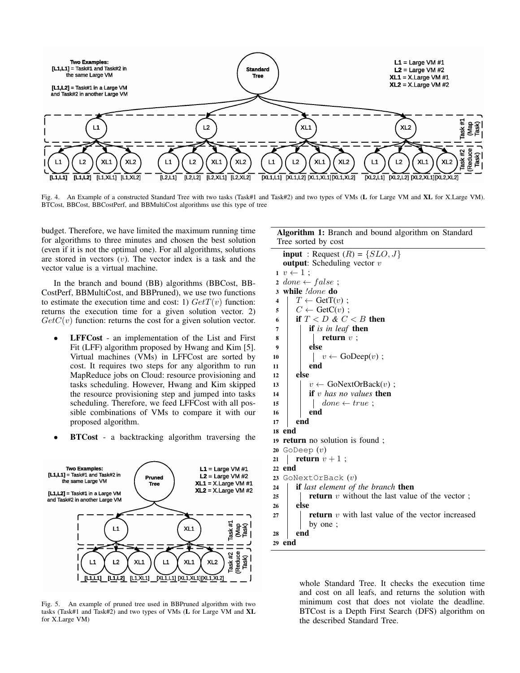

Fig. 4. An Example of a constructed Standard Tree with two tasks (Task#1 and Task#2) and two types of VMs (L for Large VM and XL for X.Large VM). BTCost, BBCost, BBCostPerf, and BBMultiCost algorithms use this type of tree

budget. Therefore, we have limited the maximum running time for algorithms to three minutes and chosen the best solution (even if it is not the optimal one). For all algorithms, solutions are stored in vectors  $(v)$ . The vector index is a task and the vector value is a virtual machine.

In the branch and bound (BB) algorithms (BBCost, BB-CostPerf, BBMultiCost, and BBPruned), we use two functions to estimate the execution time and cost: 1)  $GetT(v)$  function: returns the execution time for a given solution vector. 2)  $GetC(v)$  function: returns the cost for a given solution vector.

- LFFCost an implementation of the List and First Fit (LFF) algorithm proposed by Hwang and Kim [5]. Virtual machines (VMs) in LFFCost are sorted by cost. It requires two steps for any algorithm to run MapReduce jobs on Cloud: resource provisioning and tasks scheduling. However, Hwang and Kim skipped the resource provisioning step and jumped into tasks scheduling. Therefore, we feed LFFCost with all possible combinations of VMs to compare it with our proposed algorithm.
- **BTCost** a backtracking algorithm traversing the



Fig. 5. An example of pruned tree used in BBPruned algorithm with two tasks (Task#1 and Task#2) and two types of VMs (L for Large VM and XL for X.Large VM)

| <b>Algorithm 1:</b> Branch and bound algorithm on Standard |  |  |  |  |
|------------------------------------------------------------|--|--|--|--|
| Tree sorted by cost                                        |  |  |  |  |

|    | <b>input</b> : Request $(R) = \{SLO, J\}$                 |
|----|-----------------------------------------------------------|
|    | <b>output:</b> Scheduling vector $v$                      |
|    | $v \leftarrow 1$ ;                                        |
|    | $2\; done \leftarrow false;$                              |
| 3  | while !done do                                            |
| 4  | $T \leftarrow \text{GetT}(v)$ ;                           |
| 5  | $C \leftarrow \text{GetC}(v)$ ;                           |
| 6  | if $T < D \& C < B$ then                                  |
| 7  | if is in leaf then                                        |
| 8  | return $v$ ;                                              |
| 9  | else                                                      |
| 10 | $v \leftarrow \text{GoDeep}(v)$ ;                         |
| 11 | end                                                       |
| 12 | else                                                      |
| 13 | $v \leftarrow$ GoNextOrBack $(v)$ ;                       |
| 14 | if $v$ has no values then                                 |
| 15 | $done \leftarrow true;$                                   |
| 16 | end                                                       |
| 17 | end                                                       |
|    | 18 end                                                    |
| 19 | return no solution is found;                              |
| 20 | GoDeep $(v)$                                              |
| 21 | return $v+1$ ;                                            |
|    | 22 end                                                    |
|    | 23 GoNextOrBack $(v)$                                     |
| 24 | if last element of the branch then                        |
| 25 | <b>return</b> $v$ without the last value of the vector;   |
| 26 | else                                                      |
| 27 | <b>return</b> $v$ with last value of the vector increased |
|    | by one;                                                   |
| 28 | end                                                       |
| 29 | end                                                       |
|    |                                                           |

whole Standard Tree. It checks the execution time and cost on all leafs, and returns the solution with minimum cost that does not violate the deadline. BTCost is a Depth First Search (DFS) algorithm on the described Standard Tree.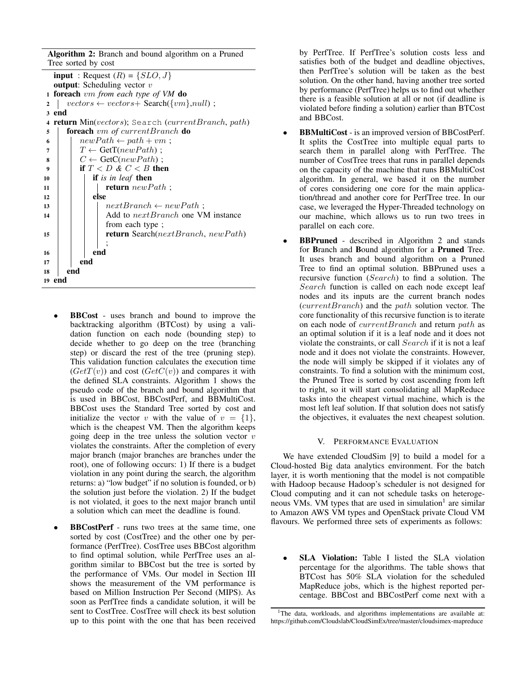Algorithm 2: Branch and bound algorithm on a Pruned Tree sorted by cost

|        |       | <b>input</b> : Request $(R) = \{SLO, J\}$                                          |
|--------|-------|------------------------------------------------------------------------------------|
|        |       | <b>output:</b> Scheduling vector $v$                                               |
|        |       | 1 foreach $vm$ from each type of VM do                                             |
| 2      |       | $vectors \leftarrow vectors + Search({\{vm\}}, null)$ ;                            |
|        | 3 end |                                                                                    |
|        |       | <b>return</b> Min( <i>vectors</i> ); Search ( <i>currentBranch</i> , <i>path</i> ) |
| 5      |       | <b>foreach</b> vm of currentBranch <b>do</b>                                       |
| 6      |       | $newPath \leftarrow path +vm$ ;                                                    |
| 7      |       | $T \leftarrow \text{GetT}(newPath)$ ;                                              |
| 8      |       | $C \leftarrow \text{GetC}(newPath)$ ;                                              |
| 9      |       | if $T < D \& C < B$ then                                                           |
| 10     |       | if is in leaf then                                                                 |
| 11     |       | <b>return</b> $newPath$ ;                                                          |
| 12     |       | else                                                                               |
| 13     |       | $nextBranch \leftarrow newPath$ ;                                                  |
| 14     |       | Add to <i>nextBranch</i> one VM instance                                           |
|        |       | from each type;                                                                    |
| 15     |       | <b>return</b> Search $(nextBranch, newPath)$                                       |
|        |       |                                                                                    |
|        |       |                                                                                    |
| 16     |       | end                                                                                |
| 17     |       | end                                                                                |
| 18     | end   |                                                                                    |
| 19 end |       |                                                                                    |

- **BBCost** uses branch and bound to improve the backtracking algorithm (BTCost) by using a validation function on each node (bounding step) to decide whether to go deep on the tree (branching step) or discard the rest of the tree (pruning step). This validation function calculates the execution time  $(GetT(v))$  and cost  $(GetC(v))$  and compares it with the defined SLA constraints. Algorithm 1 shows the pseudo code of the branch and bound algorithm that is used in BBCost, BBCostPerf, and BBMultiCost. BBCost uses the Standard Tree sorted by cost and initialize the vector v with the value of  $v = \{1\}$ , which is the cheapest VM. Then the algorithm keeps going deep in the tree unless the solution vector  $v$ violates the constraints. After the completion of every major branch (major branches are branches under the root), one of following occurs: 1) If there is a budget violation in any point during the search, the algorithm returns: a) "low budget" if no solution is founded, or b) the solution just before the violation. 2) If the budget is not violated, it goes to the next major branch until a solution which can meet the deadline is found.
- **BBCostPerf** runs two trees at the same time, one sorted by cost (CostTree) and the other one by performance (PerfTree). CostTree uses BBCost algorithm to find optimal solution, while PerfTree uses an algorithm similar to BBCost but the tree is sorted by the performance of VMs. Our model in Section III shows the measurement of the VM performance is based on Million Instruction Per Second (MIPS). As soon as PerfTree finds a candidate solution, it will be sent to CostTree. CostTree will check its best solution up to this point with the one that has been received

by PerfTree. If PerfTree's solution costs less and satisfies both of the budget and deadline objectives, then PerfTree's solution will be taken as the best solution. On the other hand, having another tree sorted by performance (PerfTree) helps us to find out whether there is a feasible solution at all or not (if deadline is violated before finding a solution) earlier than BTCost and BBCost.

- BBMultiCost is an improved version of BBCostPerf. It splits the CostTree into multiple equal parts to search them in parallel along with PerfTree. The number of CostTree trees that runs in parallel depends on the capacity of the machine that runs BBMultiCost algorithm. In general, we based it on the number of cores considering one core for the main application/thread and another core for PerfTree tree. In our case, we leveraged the Hyper-Threaded technology on our machine, which allows us to run two trees in parallel on each core.
- BBPruned described in Algorithm 2 and stands for Branch and Bound algorithm for a Pruned Tree. It uses branch and bound algorithm on a Pruned Tree to find an optimal solution. BBPruned uses a recursive function (Search) to find a solution. The Search function is called on each node except leaf nodes and its inputs are the current branch nodes (currentBranch) and the path solution vector. The core functionality of this recursive function is to iterate on each node of currentBranch and return path as an optimal solution if it is a leaf node and it does not violate the constraints, or call Search if it is not a leaf node and it does not violate the constraints. However, the node will simply be skipped if it violates any of constraints. To find a solution with the minimum cost, the Pruned Tree is sorted by cost ascending from left to right, so it will start consolidating all MapReduce tasks into the cheapest virtual machine, which is the most left leaf solution. If that solution does not satisfy the objectives, it evaluates the next cheapest solution.

# V. PERFORMANCE EVALUATION

We have extended CloudSim [9] to build a model for a Cloud-hosted Big data analytics environment. For the batch layer, it is worth mentioning that the model is not compatible with Hadoop because Hadoop's scheduler is not designed for Cloud computing and it can not schedule tasks on heterogeneous VMs. VM types that are used in simulation<sup>1</sup> are similar to Amazon AWS VM types and OpenStack private Cloud VM flavours. We performed three sets of experiments as follows:

**SLA Violation:** Table I listed the SLA violation percentage for the algorithms. The table shows that BTCost has 50% SLA violation for the scheduled MapReduce jobs, which is the highest reported percentage. BBCost and BBCostPerf come next with a

<sup>&</sup>lt;sup>1</sup>The data, workloads, and algorithms implementations are available at: https://github.com/Cloudslab/CloudSimEx/tree/master/cloudsimex-mapreduce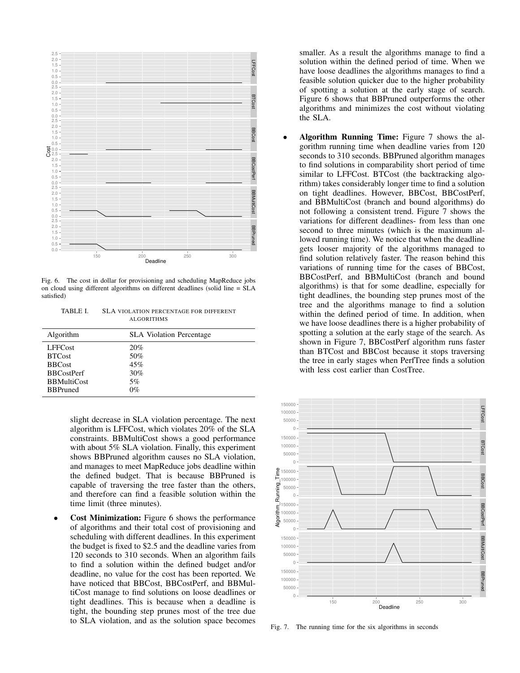

Fig. 6. The cost in dollar for provisioning and scheduling MapReduce jobs on cloud using different algorithms on different deadlines (solid line = SLA satisfied)

TABLE I. SLA VIOLATION PERCENTAGE FOR DIFFERENT ALGORITHMS

| Algorithm          | <b>SLA</b> Violation Percentage |
|--------------------|---------------------------------|
| LFFCost            | 20%                             |
| <b>BTCost</b>      | 50%                             |
| <b>BBCost</b>      | 45%                             |
| <b>BBC</b> ostPerf | 30%                             |
| <b>BBMultiCost</b> | 5%                              |
| <b>BBPruned</b>    | $0\%$                           |

slight decrease in SLA violation percentage. The next algorithm is LFFCost, which violates 20% of the SLA constraints. BBMultiCost shows a good performance with about 5% SLA violation. Finally, this experiment shows BBPruned algorithm causes no SLA violation, and manages to meet MapReduce jobs deadline within the defined budget. That is because BBPruned is capable of traversing the tree faster than the others, and therefore can find a feasible solution within the time limit (three minutes).

Cost Minimization: Figure 6 shows the performance of algorithms and their total cost of provisioning and scheduling with different deadlines. In this experiment the budget is fixed to \$2.5 and the deadline varies from 120 seconds to 310 seconds. When an algorithm fails to find a solution within the defined budget and/or deadline, no value for the cost has been reported. We have noticed that BBCost, BBCostPerf, and BBMultiCost manage to find solutions on loose deadlines or tight deadlines. This is because when a deadline is tight, the bounding step prunes most of the tree due to SLA violation, and as the solution space becomes

smaller. As a result the algorithms manage to find a solution within the defined period of time. When we have loose deadlines the algorithms manages to find a feasible solution quicker due to the higher probability of spotting a solution at the early stage of search. Figure 6 shows that BBPruned outperforms the other algorithms and minimizes the cost without violating the SLA.

Algorithm Running Time: Figure 7 shows the algorithm running time when deadline varies from 120 seconds to 310 seconds. BBPruned algorithm manages to find solutions in comparability short period of time similar to LFFCost. BTCost (the backtracking algorithm) takes considerably longer time to find a solution on tight deadlines. However, BBCost, BBCostPerf, and BBMultiCost (branch and bound algorithms) do not following a consistent trend. Figure 7 shows the variations for different deadlines- from less than one second to three minutes (which is the maximum allowed running time). We notice that when the deadline gets looser majority of the algorithms managed to find solution relatively faster. The reason behind this variations of running time for the cases of BBCost, BBCostPerf, and BBMultiCost (branch and bound algorithms) is that for some deadline, especially for tight deadlines, the bounding step prunes most of the tree and the algorithms manage to find a solution within the defined period of time. In addition, when we have loose deadlines there is a higher probability of spotting a solution at the early stage of the search. As shown in Figure 7, BBCostPerf algorithm runs faster than BTCost and BBCost because it stops traversing the tree in early stages when PerfTree finds a solution with less cost earlier than CostTree.



Fig. 7. The running time for the six algorithms in seconds